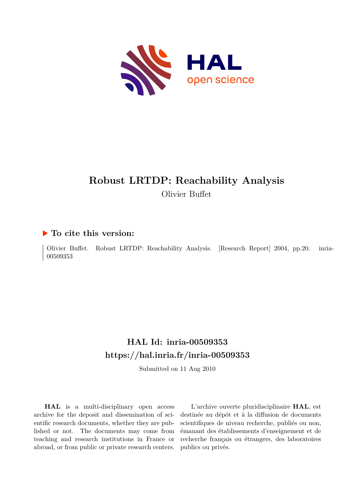

# **Robust LRTDP: Reachability Analysis** Olivier Buffet

### **To cite this version:**

Olivier Buffet. Robust LRTDP: Reachability Analysis. [Research Report] 2004, pp.20. inria-00509353

## **HAL Id: inria-00509353 <https://hal.inria.fr/inria-00509353>**

Submitted on 11 Aug 2010

**HAL** is a multi-disciplinary open access archive for the deposit and dissemination of scientific research documents, whether they are published or not. The documents may come from teaching and research institutions in France or abroad, or from public or private research centers.

L'archive ouverte pluridisciplinaire **HAL**, est destinée au dépôt et à la diffusion de documents scientifiques de niveau recherche, publiés ou non, émanant des établissements d'enseignement et de recherche français ou étrangers, des laboratoires publics ou privés.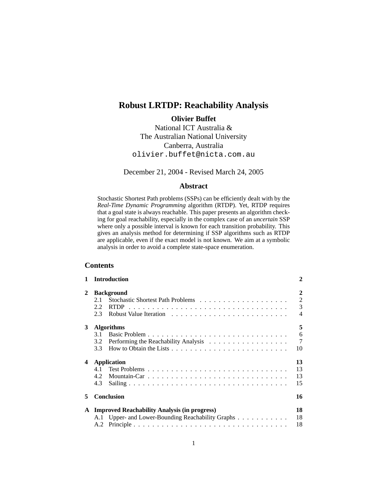## **Robust LRTDP: Reachability Analysis**

**Olivier Buffet**

National ICT Australia & The Australian National University Canberra, Australia olivier.buffet@nicta.com.au

December 21, 2004 - Revised March 24, 2005

#### **Abstract**

Stochastic Shortest Path problems (SSPs) can be efficiently dealt with by the *Real-Time Dynamic Programming* algorithm (RTDP). Yet, RTDP requires that a goal state is always reachable. This paper presents an algorithm checking for goal reachability, especially in the complex case of an *uncertain* SSP where only a possible interval is known for each transition probability. This gives an analysis method for determining if SSP algorithms such as RTDP are applicable, even if the exact model is not known. We aim at a symbolic analysis in order to avoid a complete state-space enumeration.

#### **Contents**

|   | <b>Introduction</b>                                    | 2                                                               |
|---|--------------------------------------------------------|-----------------------------------------------------------------|
| 2 | <b>Background</b><br>2.1<br><b>RTDP</b><br>2.2.<br>2.3 | $\mathbf{2}$<br>$\overline{2}$<br>3<br>$\overline{\mathcal{A}}$ |
| 3 | <b>Algorithms</b>                                      | 5                                                               |
|   | 3.1                                                    | 6                                                               |
|   | 3.2                                                    | $\tau$                                                          |
|   | 3.3                                                    | 10                                                              |
| 4 | <b>Application</b>                                     | 13                                                              |
|   | 41                                                     | 13                                                              |
|   | 4.2                                                    | 13                                                              |
|   | 4.3                                                    | 15                                                              |
| 5 | <b>Conclusion</b>                                      | 16                                                              |
| A | <b>Improved Reachability Analysis (in progress)</b>    | 18                                                              |
|   | A.1 Upper- and Lower-Bounding Reachability Graphs      | 18                                                              |
|   | A.2                                                    | 18                                                              |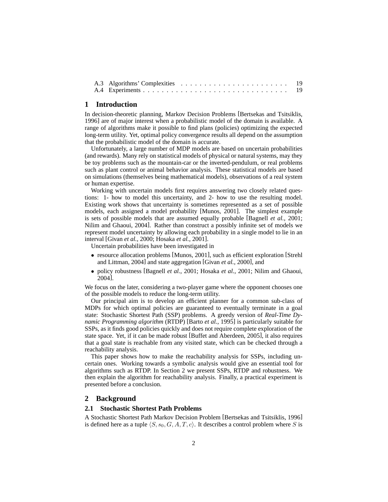#### **1 Introduction**

In decision-theoretic planning, Markov Decision Problems [Bertsekas and Tsitsiklis, 1996] are of major interest when a probabilistic model of the domain is available. A range of algorithms make it possible to find plans (policies) optimizing the expected long-term utility. Yet, optimal policy convergence results all depend on the assumption that the probabilistic model of the domain is accurate.

Unfortunately, a large number of MDP models are based on uncertain probabilities (and rewards). Many rely on statistical models of physical or natural systems, may they be toy problems such as the mountain-car or the inverted-pendulum, or real problems such as plant control or animal behavior analysis. These statistical models are based on simulations (themselves being mathematical models), observations of a real system or human expertise.

Working with uncertain models first requires answering two closely related questions: 1- how to model this uncertainty, and 2- how to use the resulting model. Existing work shows that uncertainty is sometimes represented as a set of possible models, each assigned a model probability [Munos, 2001]. The simplest example is sets of possible models that are assumed equally probable [Bagnell *et al.*, 2001; Nilim and Ghaoui, 2004]. Rather than construct a possibly infinite set of models we represent model uncertainty by allowing each probability in a single model to lie in an interval [Givan *et al.*, 2000; Hosaka *et al.*, 2001].

Uncertain probabilities have been investigated in

- resource allocation problems [Munos, 2001], such as efficient exploration [Strehl and Littman, 2004] and state aggregation [Givan *et al.*, 2000], and
- policy robustness [Bagnell *et al.*, 2001; Hosaka *et al.*, 2001; Nilim and Ghaoui, 2004].

We focus on the later, considering a two-player game where the opponent chooses one of the possible models to reduce the long-term utility.

Our principal aim is to develop an efficient planner for a common sub-class of MDPs for which optimal policies are guaranteed to eventually terminate in a goal state: Stochastic Shortest Path (SSP) problems. A greedy version of *Real-Time Dynamic Programming algorithm* (RTDP) [Barto *et al.*, 1995] is particularly suitable for SSPs, as it finds good policies quickly and does not require complete exploration of the state space. Yet, if it can be made robust [Buffet and Aberdeen, 2005], it also requires that a goal state is reachable from any visited state, which can be checked through a reachability analysis.

This paper shows how to make the reachability analysis for SSPs, including uncertain ones. Working towards a symbolic analysis would give an essential tool for algorithms such as RTDP. In Section 2 we present SSPs, RTDP and robustness. We then explain the algorithm for reachability analysis. Finally, a practical experiment is presented before a conclusion.

#### **2 Background**

#### **2.1 Stochastic Shortest Path Problems**

A Stochastic Shortest Path Markov Decision Problem [Bertsekas and Tsitsiklis, 1996] is defined here as a tuple  $\langle S, s_0, G, A, T, c \rangle$ . It describes a control problem where S is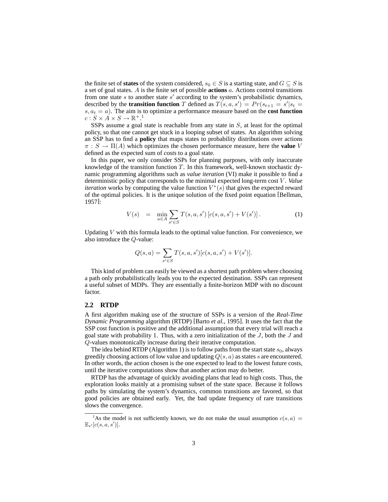the finite set of **states** of the system considered,  $s_0 \in S$  is a starting state, and  $G \subseteq S$  is a set of goal states. A is the finite set of possible **actions** a. Actions control transitions from one state  $s$  to another state  $s'$  according to the system's probabilistic dynamics, described by the **transition function** T defined as  $T(s, a, s') = Pr(s_{t+1} = s'|s_t = s')$  $s, a_t = a$ ). The aim is to optimize a performance measure based on the **cost function**  $c: S \times A \times S \rightarrow \mathbb{R}^{+,1}$ 

SSPs assume a goal state is reachable from any state in S, at least for the optimal policy, so that one cannot get stuck in a looping subset of states. An algorithm solving an SSP has to find a **policy** that maps states to probability distributions over actions  $\pi : S \to \Pi(A)$  which optimizes the chosen performance measure, here the **value** V defined as the expected sum of *costs* to a goal state.

In this paper, we only consider SSPs for planning purposes, with only inaccurate knowledge of the transition function  $T$ . In this framework, well-known stochastic dynamic programming algorithms such as *value iteration* (VI) make it possible to find a deterministic policy that corresponds to the minimal expected long-term cost V . *Value iteration* works by computing the value function  $V^*(s)$  that gives the expected reward of the optimal policies. It is the unique solution of the fixed point equation [Bellman, 1957]:

$$
V(s) = \min_{a \in A} \sum_{s' \in S} T(s, a, s') [c(s, a, s') + V(s')]. \tag{1}
$$

Updating  $V$  with this formula leads to the optimal value function. For convenience, we also introduce the Q-value:

$$
Q(s, a) = \sum_{s' \in S} T(s, a, s') [c(s, a, s') + V(s')].
$$

This kind of problem can easily be viewed as a shortest path problem where choosing a path only probabilistically leads you to the expected destination. SSPs can represent a useful subset of MDPs. They are essentially a finite-horizon MDP with no discount factor.

#### **2.2 RTDP**

A first algorithm making use of the structure of SSPs is a version of the *Real-Time Dynamic Programming* algorithm (RTDP) [Barto *et al.*, 1995]. It uses the fact that the SSP cost function is positive and the additional assumption that every trial will reach a goal state with probability 1. Thus, with a zero initialization of the  $J$ , both the  $J$  and Q-values monotonically increase during their iterative computation.

The idea behind RTDP (Algorithm 1) is to follow paths from the start state  $s_0$ , always greedily choosing actions of low value and updating  $Q(s, a)$  as states s are encountered. In other words, the action chosen is the one expected to lead to the lowest future costs, until the iterative computations show that another action may do better.

RTDP has the advantage of quickly avoiding plans that lead to high costs. Thus, the exploration looks mainly at a promising subset of the state space. Because it follows paths by simulating the system's dynamics, common transitions are favored, so that good policies are obtained early. Yet, the bad update frequency of rare transitions slows the convergence.

<sup>&</sup>lt;sup>1</sup>As the model is not sufficiently known, we do not make the usual assumption  $c(s, a)$  =  $\mathbb{E}_{s'}[c(s, a, s')]$ .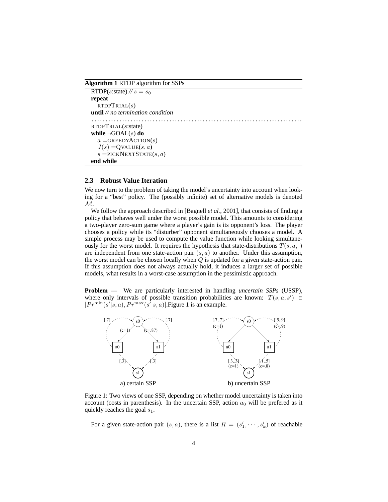**Algorithm 1** RTDP algorithm for SSPs

```
RTDP(s:state) \mathscr{N}s = s_0repeat
   RTDPTRIAL(s)until // no termination condition
. . . . . . . . . . . . . . . . . . . . . . . . . . . . . . . . . . . . . . . . . . . . . . . . . . . . . . . . . . . . . . . . . . . . . . . . . . . .
RTDPTRIAL(s:state)
while ¬GOAL(s) do
   a =GREEDYACTION(s)
   J(s) = QVALUE(s, a)s =PICKNEXTSTATE(s, a)end while
```
#### **2.3 Robust Value Iteration**

We now turn to the problem of taking the model's uncertainty into account when looking for a "best" policy. The (possibly infinite) set of alternative models is denoted M.

We follow the approach described in [Bagnell *et al.*, 2001], that consists of finding a policy that behaves well under the worst possible model. This amounts to considering a two-player zero-sum game where a player's gain is its opponent's loss. The player chooses a policy while its "disturber" opponent simultaneously chooses a model. A simple process may be used to compute the value function while looking simultaneously for the worst model. It requires the hypothesis that state-distributions  $T(s, a, \cdot)$ are independent from one state-action pair  $(s, a)$  to another. Under this assumption, the worst model can be chosen locally when  $Q$  is updated for a given state-action pair. If this assumption does not always actually hold, it induces a larger set of possible models, what results in a worst-case assumption in the pessimistic approach.

**Problem** — We are particularly interested in handling *uncertain SSPs* (USSP), where only intervals of possible transition probabilities are known:  $T(s, a, s') \in$  $[Pr^{\min}(s' | s, a), Pr^{\max}(s' | s, a)]$ . Figure 1 is an example.



Figure 1: Two views of one SSP, depending on whether model uncertainty is taken into account (costs in parenthesis). In the uncertain SSP, action  $a_0$  will be prefered as it quickly reaches the goal  $s_1$ .

For a given state-action pair  $(s, a)$ , there is a list  $R = (s'_1, \dots, s'_k)$  of reachable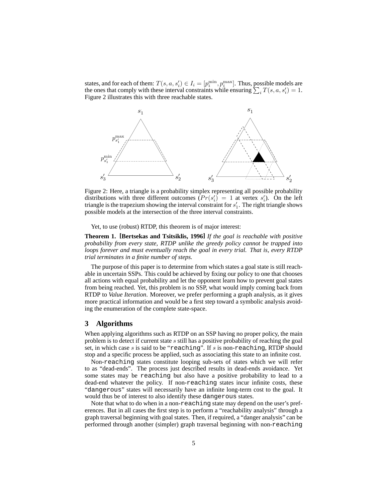states, and for each of them:  $T(s, a, s'_i) \in I_i = [p_i^{\min}, p_i^{\max}]$ . Thus, possible models are the ones that comply with these interval constraints while ensuring  $\sum_i T(s, a, s'_i) = 1$ . Figure 2 illustrates this with three reachable states.



Figure 2: Here, a triangle is a probability simplex representing all possible probability distributions with three different outcomes  $(Pr(s_i') = 1$  at vertex  $s_i'$ ). On the left triangle is the trapezium showing the interval constraint for  $s'_1$ . The right triangle shows possible models at the intersection of the three interval constraints.

Yet, to use (robust) RTDP, this theorem is of major interest:

**Theorem 1. [Bertsekas and Tsitsiklis, 1996]** *If the goal is reachable with positive probability from every state, RTDP unlike the greedy policy cannot be trapped into loops forever and must eventually reach the goal in every trial. That is, every RTDP trial terminates in a finite number of steps.*

The purpose of this paper is to determine from which states a goal state is still reachable in uncertain SSPs. This could be achieved by fixing our policy to one that chooses all actions with equal probability and let the opponent learn how to prevent goal states from being reached. Yet, this problem is no SSP, what would imply coming back from RTDP to *Value Iteration*. Moreover, we prefer performing a graph analysis, as it gives more practical information and would be a first step toward a symbolic analysis avoiding the enumeration of the complete state-space.

#### **3 Algorithms**

When applying algorithms such as RTDP on an SSP having no proper policy, the main problem is to detect if current state s still has a positive probability of reaching the goal set, in which case s is said to be "reaching". If s is non-reaching, RTDP should stop and a specific process be applied, such as associating this state to an infinite cost.

Non-reaching states constitute looping sub-sets of states which we will refer to as "dead-ends". The process just described results in dead-ends avoidance. Yet some states may be reaching but also have a positive probability to lead to a dead-end whatever the policy. If non-reaching states incur infinite costs, these "dangerous" states will necessarily have an infinite long-term cost to the goal. It would thus be of interest to also identify these dangerous states.

Note that what to do when in a non-reaching state may depend on the user's preferences. But in all cases the first step is to perform a "reachability analysis" through a graph traversal beginning with goal states. Then, if required, a "danger analysis" can be performed through another (simpler) graph traversal beginning with non-reaching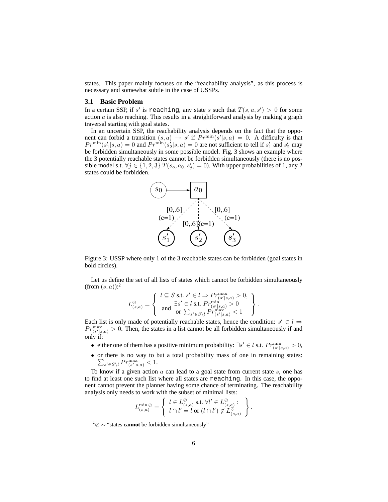states. This paper mainly focuses on the "reachability analysis", as this process is necessary and somewhat subtle in the case of USSPs.

#### **3.1 Basic Problem**

In a certain SSP, if s' is reaching, any state s such that  $T(s, a, s') > 0$  for some action  $a$  is also reaching. This results in a straightforward analysis by making a graph traversal starting with goal states.

In an uncertain SSP, the reachability analysis depends on the fact that the opponent can forbid a transition  $(s, a) \rightarrow s'$  if  $Pr^{\min}(s'|s, a) = 0$ . A difficulty is that  $Pr^{\min}(s'_1|s, a) = 0$  and  $Pr^{\min}(s'_2|s, a) = 0$  are not sufficient to tell if  $s'_1$  and  $s'_2$  may be forbidden simultaneously in some possible model. Fig. 3 shows an example where the 3 potentially reachable states cannot be forbidden simultaneously (there is no possible model s.t.  $\forall j \in \{1,2,3\}$   $T(s_o, a_0, s'_j) = 0$ ). With upper probabilities of 1, any 2 states could be forbidden.



Figure 3: USSP where only 1 of the 3 reachable states can be forbidden (goal states in bold circles).

Let us define the set of all lists of states which cannot be forbidden simultaneously (from  $(s, a)$ ):<sup>2</sup>

$$
L_{(s,a)}^{\oslash} = \left\{ \begin{array}{c} l \subseteq S \text{ s.t. } s' \in l \Rightarrow Pr_{(s'|s,a)}^{\max} > 0, \\ \exists s' \in l \text{ s.t. } Pr_{(s'|s,a)}^{\min} > 0 \\ \text{ and } \overline{\text{ or }} \sum_{s' \in S \backslash l} Pr_{(s'|s,a)}^{\max} < 1 \end{array} \right\}.
$$

Each list is only made of potentially reachable states, hence the condition:  $s' \in l \Rightarrow$  $Pr_{(s'|s,a)}^{\max} > 0$ . Then, the states in a list cannot be all forbidden simultaneously if and only if:

- either one of them has a positive minimum probability:  $\exists s' \in l$  s.t.  $Pr_{(s'|s,a)}^{\min} > 0$ ,
- or there is no way to but a total probability mass of one in remaining states:  $\sum_{s' \in S \setminus l} Pr_{(s'|s,a)}^{\max} < 1.$

To know if a given action  $a$  can lead to a goal state from current state  $s$ , one has to find at least one such list where all states are reaching. In this case, the opponent cannot prevent the planner having some chance of terminating. The reachability analysis only needs to work with the subset of minimal lists:

$$
L_{(s,a)}^{\min\oslash} = \left\{ \begin{array}{l} l \in L_{(s,a)}^{\oslash} \text{ s.t. } \forall l' \in L_{(s,a)}^{\oslash} : \\ l \cap l' = l \text{ or } (l \cap l') \notin L_{(s,a)}^{\oslash} \end{array} \right\}.
$$

<sup>2</sup> ∼ "states **cannot** be forbidden simultaneously"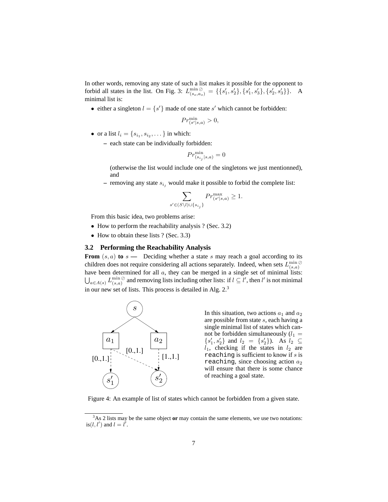In other words, removing any state of such a list makes it possible for the opponent to forbid all states in the list. On Fig. 3:  $L^{\min}_{(s_0, a_0)} = \{\{s'_1, s'_2\}, \{s'_1, s'_3\}, \{s'_2, s'_3\}\}\.$  A minimal list is:

• either a singleton  $l = \{s'\}$  made of one state s' which cannot be forbidden:

$$
Pr_{(s'|s,a)}^{\min} > 0,
$$

- or a list  $l_i = \{s_{i_1}, s_{i_2}, \dots\}$  in which:
	- **–** each state can be individually forbidden:

$$
Pr_{(s_{i_j}|s,a)}^{\min}=0
$$

(otherwise the list would include one of the singletons we just mentionned), and

– removing any state  $s_{i_j}$  would make it possible to forbid the complete list:

$$
\sum_{\forall \in (S \setminus l) \cup \{s_{i_j}\}} Pr_{(s'|s,a)}^{\max} \ge 1.
$$

From this basic idea, two problems arise:

• How to perform the reachability analysis ? (Sec. 3.2)

s

• How to obtain these lists ? (Sec. 3.3)

#### **3.2 Performing the Reachability Analysis**

**From**  $(s, a)$  to  $s$  **—** Deciding whether a state s may reach a goal according to its children does not require considering all actions separately. Indeed, when sets  $L^{\min}_{(s,a)}$ have been determined for all  $a$ , they can be merged in a single set of minimal lists:  $\bigcup_{a \in A(s)} L^{\min}_{(s,a)}$  and removing lists including other lists: if  $l \subseteq l'$ , then l' is not minimal in our new set of lists. This process is detailed in Alg.  $2<sup>3</sup>$ 



In this situation, two actions  $a_1$  and  $a_2$ are possible from state s, each having a single minimal list of states which cannot be forbidden simultaneously  $(l_1 =$  $\{s'_1, s'_2\}$  and  $l_2 = \{s'_2\}$ ). As  $l_2 \subseteq$  $l_1$ , checking if the states in  $l_2$  are reaching is sufficient to know if  $s$  is reaching, since choosing action  $a_2$ will ensure that there is some chance of reaching a goal state.

Figure 4: An example of list of states which cannot be forbidden from a given state.

<sup>3</sup>As 2 lists may be the same object **or** may contain the same elements, we use two notations: is(l, l') and  $l = l'$ .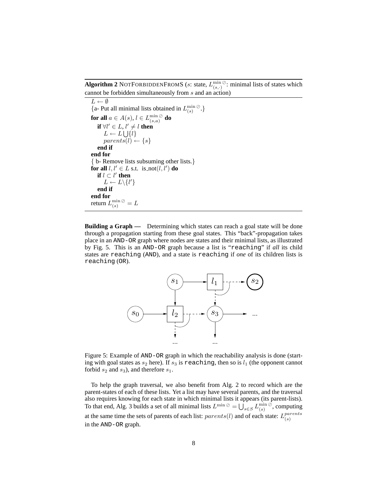**Algorithm 2** NOTFORBIDDENFROMS (*s*: state,  $L_{(s,\cdot)}^{\min\emptyset}$ : minimal lists of states which cannot be forbidden simultaneously from s and an action)

 $L \leftarrow \emptyset$ {a- Put all minimal lists obtained in  $L_{(s)}^{\min \emptyset}$ .} **for all**  $a \in A(s), l \in L^{\min}_{(s,a)}$  **do if**  $\forall l' \in L, l' \neq l$  **then**  $L \leftarrow L \bigcup \{l\}$  $parents(l) \leftarrow \{s\}$ **end if end for** { b- Remove lists subsuming other lists.} **for all**  $l, l' \in L$  s.t. is not $(l, l')$  **do if**  $l \subset l'$  **then**  $L \leftarrow L \setminus \{l'\}$ **end if end for** return  $L^{\min}_{(s)}{}^\oslash=L$ 

**Building a Graph —** Determining which states can reach a goal state will be done through a propagation starting from these goal states. This "back"-propagation takes place in an AND-OR graph where nodes are states and their minimal lists, as illustrated by Fig. 5. This is an AND-OR graph because a list is "reaching" if *all* its child states are reaching (AND), and a state is reaching if *one* of its children lists is reaching (OR).



Figure 5: Example of AND-OR graph in which the reachability analysis is done (starting with goal states as  $s_2$  here). If  $s_3$  is reaching, then so is  $l_1$  (the opponent cannot forbid  $s_2$  and  $s_3$ ), and therefore  $s_1$ .

To help the graph traversal, we also benefit from Alg. 2 to record which are the parent-states of each of these lists. Yet a list may have several parents, and the traversal also requires knowing for each state in which minimal lists it appears (its parent-lists). To that end, Alg. 3 builds a set of all minimal lists  $L^{\min \oslash} = \bigcup_{s \in S} L^{\min \oslash}_{(s)}$ , computing at the same time the sets of parents of each list:  $parents(l)$  and of each state:  $L_{(s)}^{parents}$ (s) in the AND-OR graph.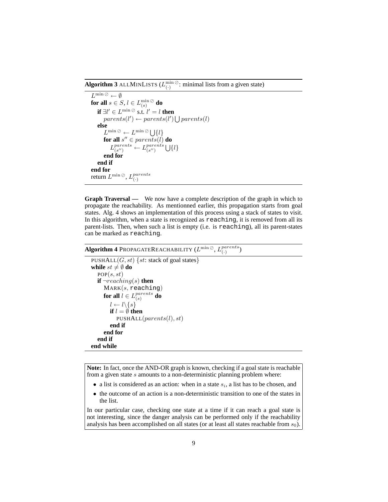**Algorithm 3** ALLMINLISTS  $(L_{(.)}^{\min\emptyset}$ : minimal lists from a given state)

```
L^{\min \oslash} \leftarrow \emptysetfor all s \in S, l \in L_{(s)}^{\min \oslash} do
     if \exists l' \in L^{\min \oslash} s.t. l' = l then
          parents(l') \leftarrow parents(l') \bigcup parents(l)else
          L^{\min\oslash} \leftarrow L^{\min\oslash} \bigcup \{l\}\mathbf{for} \text{ all } s'' \in parents(\vec{l}) \text{ }\mathbf{do}L_{(s\prime\prime)}^{parents}\theta_{(s'')}^{parents} \leftarrow L^{parents}_{(s'')}\bigcup\limits_{(s^{\prime\prime})}\{l\}end for
     end if
end for
return L^{\min\oslash}, L_{\alpha}^{parents}(·)
```
**Graph Traversal —** We now have a complete description of the graph in which to propagate the reachability. As mentionned earlier, this propagation starts from goal states. Alg. 4 shows an implementation of this process using a stack of states to visit. In this algorithm, when a state is recognized as reaching, it is removed from all its parent-lists. Then, when such a list is empty (i.e. is reaching), all its parent-states can be marked as reaching.

#### **Algorithm 4** PROPAGATEREACHABILITY  $(L^{\min}\otimes, L^{\text{parents}}_{\text{CL}})$  $_{(\cdot)}^{parents} )$

```
PUSHALL(G, st) {st: stack of goal states}
while st \neq \emptyset do
   POP(s, st)if \neg reaching(s) then
      MARK(s, reaching)for all l \in L_{(s)}^{parents}_{(s)}^{parents} do
         l \leftarrow l \backslash \{s\}if l = \emptyset then
            PUSHALL(parents(l), st)end if
      end for
   end if
end while
```
**Note:** In fact, once the AND-OR graph is known, checking if a goal state is reachable from a given state s amounts to a non-deterministic planning problem where:

- a list is considered as an action: when in a state  $s_i$ , a list has to be chosen, and
- the outcome of an action is a non-deterministic transition to one of the states in the list.

In our particular case, checking one state at a time if it can reach a goal state is not interesting, since the danger analysis can be performed only if the reachability analysis has been accomplished on all states (or at least all states reachable from  $s_0$ ).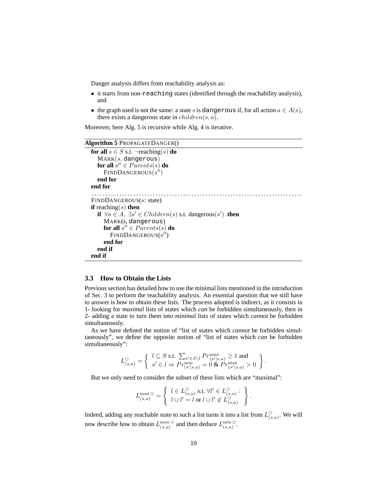Danger analysis differs from reachability analysis as:

- it starts from non-reaching states (identified through the reachability analysis), and
- the graph used is not the same: a state s is dangerous if, for all action  $a \in A(s)$ . there exists a dangerous state in  $children(s, a)$ .

Moreover, here Alg. 5 is recursive while Alg. 4 is iterative.

#### **Algorithm 5** PROPAGATEDANGER()

```
for all s \in S s.t. \negreaching(s) do
   MARK(s, dangerous)\mathbf{for} \text{ all } s'' \in Parents(s) \text{ }\mathbf{do}FINDDANGEROUS(s'')end for
end for
. . . . . . . . . . . . . . . . . . . . . . . . . . . . . . . . . . . . . . . . . . . . . . . . . . . . . . . . . . . . . . . . . . . . . . . . . . . .
FINDDANGEROUS(s: state)
if reaching(s) then
   if \forall a \in A, \exists s' \in Children(s) s.t. dangerous(s') then
      MARK(s, dangerous)
       \mathbf{for} \text{ all } s'' \in Parents(s) \textbf{ do}FINDDANGEROUS(s'')end for
   end if
end if
```
#### **3.3 How to Obtain the Lists**

Previous section has detailed how to use the minimal lists mentioned in the introduction of Sec. 3 to perform the reachability analysis. An essential question that we still have to answer is how to obtain these lists. The process adopted is indirect, as it consists in 1- looking for *maximal* lists of states which *can* be forbidden simultaneously, then in 2- adding a state to turn them into *minimal* lists of states which *cannot* be forbidden simultaneously.

As we have defined the notion of "list of states which *cannot* be forbidden simultaneously", we define the opposite notion of "list of states which *can* be forbidden simultaneously":

$$
L_{(s,a)}^{\odot}=\left\{\begin{array}{l} l\subseteq S \text{ s.t. } \sum_{s'\in S\backslash l}Pr_{(s'|s,a)}^{\max}\geq 1 \text{ and } \\ s'\in l\Rightarrow Pr_{(s'|s,a)}^{\min}=0 \text{ \& } Pr_{(s'|s,a)}^{\max}>0\end{array}\right\}.
$$

But we only need to consider the subset of these lists which are "maximal":

$$
L_{(s,a)}^{\max\odot} = \left\{ \begin{array}{l} l \in L_{(s,a)}^{\odot} \text{ s.t. } \forall l' \in L_{(s,a)}^{\odot} : \\ l \cup l' = l \text{ or } l \cup l' \notin L_{(s,a)}^{\odot} \end{array} \right\}.
$$

Indeed, adding any reachable state to such a list turns it into a list from  $L^{\oslash}_{(s,a)}$ . We will now describe how to obtain  $L_{(s,a)}^{\max\odot}$  and then deduce  $L_{(s,a)}^{\min\oslash}$ .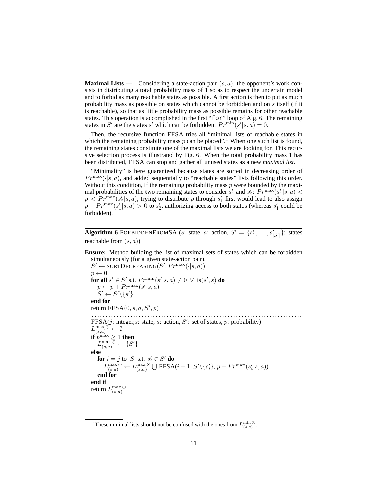**Maximal Lists —** Considering a state-action pair  $(s, a)$ , the opponent's work consists in distributing a total probability mass of 1 so as to respect the uncertain model and to forbid as many reachable states as possible. A first action is then to put as much probability mass as possible on states which cannot be forbidden and on s itself (if it is reachable), so that as little probability mass as possible remains for other reachable states. This operation is accomplished in the first "for" loop of Alg. 6. The remaining states in S' are the states s' which can be forbidden:  $Pr^{\min}[s'|s, a) = 0$ .

Then, the recursive function FFSA tries all "minimal lists of reachable states in which the remaining probability mass  $p$  can be placed".<sup>4</sup> When one such list is found, the remaining states constitute one of the maximal lists we are looking for. This recursive selection process is illustrated by Fig. 6. When the total probability mass 1 has been distributed, FFSA can stop and gather all unused states as a new *maximal list*.

"Minimality" is here guaranteed because states are sorted in decreasing order of  $Pr^{\max}(\cdot|s, a)$ , and added sequentially to "reachable states" lists following this order. Without this condition, if the remaining probability mass  $p$  were bounded by the maximal probabilities of the two remaining states to consider  $s'_1$  and  $s'_2$ :  $Pr^{max}(s'_1|s, a)$  <  $p < Pr^{\max}(s_2'|s, a)$ , trying to distribute p through  $s_1'$  first would lead to also assign  $p - Pr^{\max}(s'_1 | s, a) > 0$  to  $s'_2$ , authorizing access to both states (whereas  $s'_1$  could be forbidden).

**Algorithm 6** FORBIDDENFROMSA (*s*: state, *a*: action,  $S' = \{s'_1, \ldots, s'_{|S'|}\}$ : states reachable from  $(s, a)$ )

**Ensure:** Method building the list of maximal sets of states which can be forbidden simultaneously (for a given state-action pair).  $S' \leftarrow$  SORTDECREASING $(S', Pr^{max}(\cdot | s, a))$  $p \leftarrow 0$ **for all**  $s' \in S'$  s.t.  $Pr^{\min}(s'|s, a) \neq 0 \ \lor \ \text{is}(s', s)$  **do**  $p \leftarrow p + Pr^{\max}(s' | s, a)$  $S' \leftarrow S' \setminus \{s'\}$ **end for** return  $FFSA(0, s, a, S', p)$ . . . . . . . . . . . . . . . . . . . . . . . . . . . . . . . . . . . . . . . . . . . . . . . . . . . . . . . . . . . . . . . . . . . . . . . . . . . . FFSA( $j$ : integer,s: state,  $a$ : action,  $S'$ : set of states,  $p$ : probability)  $L_{(s,a)}^{\max \odot^\mathbf{v}} \leftarrow \emptyset$ **if**  $p^{\max} \geq 1$  **then**  $L_{(s,a)}^{\max \overline{\odot}} \leftarrow \{S'\}$ **else for**  $i = j$  to  $|S|$  s.t.  $s_i' \in S'$  **do**  $L_{(s,a)}^{\max\odot} \leftarrow L_{(s,a)}^{\max\odot}\bigcup \text{FFSA}(i+1, S'\setminus\{s'_{i}\}, p + Pr^{\max}(s'_{i}|s, a))$ **end for end if** return  $L_{(s,a)}^{\max}$   $\odot$ 

<sup>&</sup>lt;sup>4</sup>These minimal lists should not be confused with the ones from  $L_{(s,a)}^{\min\emptyset}$ .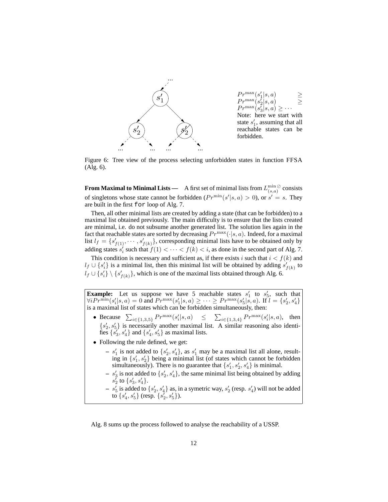

Figure 6: Tree view of the process selecting unforbidden states in function FFSA (Alg. 6).

**From Maximal to Minimal Lists** — A first set of minimal lists from  $L_{(s,a)}^{\min\emptyset}$  consists of singletons whose state cannot be forbidden  $(Pr^{\min}(s' | s, a) > 0)$ , or  $s' = s$ . They are built in the first for loop of Alg. 7.

Then, all other minimal lists are created by adding a state (that can be forbidden) to a maximal list obtained previously. The main difficulty is to ensure that the lists created are minimal, i.e. do not subsume another generated list. The solution lies again in the fact that reachable states are sorted by decreasing  $Pr^{\max}(\cdot|s, a)$ . Indeed, for a maximal list  $l_f = \{s'_{f(1)}, \dots, s'_{f(k)}\}$ , corresponding minimal lists have to be obtained only by adding states  $s_i'$  such that  $f(1) < \cdots < f(k) < i$ , as done in the second part of Alg. 7. This condition is necessary and sufficient as, if there exists i such that  $i < f(k)$  and

 $l_f \cup \{s'_i\}$  is a minimal list, then this minimal list will be obtained by adding  $s'_{f(k)}$  to  $l_f \cup \{s'_i\} \setminus \{s'_{f(k)}\}$ , which is one of the maximal lists obtained through Alg. 6.

**Example:** Let us suppose we have 5 reachable states  $s'_1$  to  $s'_5$ , such that  $\forall i Pr^{\min}(s'_i|s, a) = 0$  and  $Pr^{\max}(s'_1|s, a) \geq \cdots \geq Pr^{\max}(s'_5|s, a)$ . If  $l = \{s'_2, s'_4\}$ is a maximal list of states which can be forbidden simultaneously, then:

- Because  $\sum_{i \in \{1,3,5\}} Pr^{\max}(s_i'|s, a) \leq \sum_{i \in \{1,3,4\}} Pr^{\max}(s_i'|s, a)$ , then  $\{s_2, s_5\}$  is necessarily another maximal list. A similar reasoning also identifies  $\{s'_3, s'_4\}$  and  $\{s'_4, s'_5\}$  as maximal lists.
- Following the rule defined, we get:
	- $s'_1$  is not added to  $\{s'_2, s'_4\}$ , as  $s'_1$  may be a maximal list all alone, resulting in  $\{s_1', s_2'\}$  being a minimal list (of states which cannot be forbidden simultaneously). There is no guarantee that  $\{s_1', s_2', s_4'\}$  is minimal.
	- $s'_3$  is not added to  $\{s'_2, s'_4\}$ , the same minimal list being obtained by adding  $s_2^{\check\prime}$  to  $\{s_3^{\prime},s_4^{\prime}\}.$
	- $s'_5$  is added to  $\{s'_2, s'_4\}$  as, in a symetric way,  $s'_2$  (resp.  $s'_4$ ) will not be added to  $\{s'_4, s'_5\}$  (resp.  $\{s'_2, s'_5\}$ ).

Alg. 8 sums up the process followed to analyse the reachability of a USSP.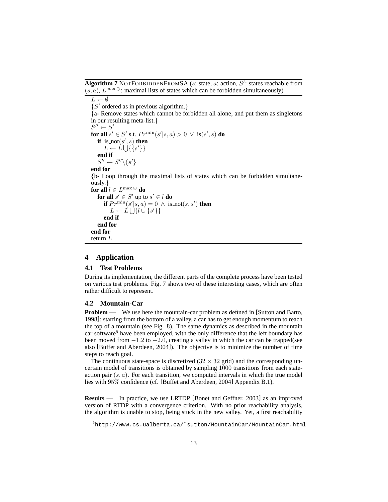Algorithm 7 NOTFORBIDDENFROMSA (s: state, a: action, S': states reachable from  $(s, a)$ ,  $L^{\max}$  : maximal lists of states which can be forbidden simultaneously)

```
L \leftarrow \emptyset{S' ordered as in previous algorithm.}
{a- Remove states which cannot be forbidden all alone, and put them as singletons
in our resulting meta-list.}
S'' \leftarrow S'for all s' \in S' s.t. Pr^{\min}(s'|s, a) > 0 \ \lor \ \text{is}(s', s) do
   if is \text{not}(s', s) then
       L \leftarrow L \bigcup \{\{s'\}\}\end if
   S'' \leftarrow S'' \backslash \{s'\}end for
{b- Loop through the maximal lists of states which can be forbidden simultane-
ously.}
\mathbf{for\ all}\ l\in L^{\max\odot}\ \mathbf{do}for all s' \in S' up to s' \in l do
       if Pr^{\min}(s'|s, a) = 0 \land \text{is\_not}(s, s') then
          L \leftarrow L \bigcup \{l \cup \{s'\}\}\end if
   end for
end for
return L
```
### **4 Application**

#### **4.1 Test Problems**

During its implementation, the different parts of the complete process have been tested on various test problems. Fig. 7 shows two of these interesting cases, which are often rather difficult to represent.

#### **4.2 Mountain-Car**

**Problem —** We use here the mountain-car problem as defined in [Sutton and Barto, 1998]: starting from the bottom of a valley, a car has to get enough momentum to reach the top of a mountain (see Fig. 8). The same dynamics as described in the mountain car software<sup>5</sup> have been employed, with the only difference that the left boundary has been moved from −1.2 to −2.0, creating a valley in which the car can be trapped(see also [Buffet and Aberdeen, 2004]). The objective is to minimize the number of time steps to reach goal.

The continuous state-space is discretized  $(32 \times 32 \text{ grid})$  and the corresponding uncertain model of transitions is obtained by sampling 1000 transitions from each stateaction pair  $(s, a)$ . For each transition, we computed intervals in which the true model lies with 95% confidence (cf. [Buffet and Aberdeen, 2004] Appendix B.1).

**Results** — In practice, we use LRTDP [Bonet and Geffner, 2003] as an improved version of RTDP with a convergence criterion. With no prior reachability analysis, the algorithm is unable to stop, being stuck in the new valley. Yet, a first reachability

<sup>5</sup>http://www.cs.ualberta.ca/˜sutton/MountainCar/MountainCar.html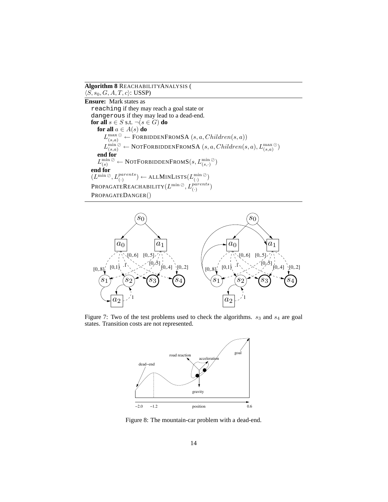**Algorithm 8** REACHABILITYANALYSIS (  $\langle S, s_0, G, A, T, c \rangle$ : USSP)

**Ensure:** Mark states as reaching if they may reach a goal state or dangerous if they may lead to a dead-end. **for all**  $s \in S$  s.t.  $\neg (s \in G)$  **do for all**  $a \in A(s)$  **do**  $L_{(s,a)}^{\max\odot} \leftarrow$  FORBIDDENFROMSA  $(s, a, Children(s, a))$  $L_{(s,a)}^{\min\oslash} \leftarrow \text{NOTFORDIDDENFROMSA}\left(s, a, Children(s, a), L_{(s, a)}^{\max\oslash}\right)$ **end for**  $L_{(s)}^{\min\oslash}\gets \text{NOTFORDIDDENFROMS}(s,L_{(s,\cdot)}^{\min\oslash})$ **end for**  $(L^{\min\oslash}, L^{parents}_{(\cdot)} \leftarrow \text{ALLMINLISTS}(L^{\min\oslash}_{(\cdot)})$  $\texttt{PROPAGATEREACHABILITY}(L^{\text{min} \, \oslash}, L^{parents}_{(\cdot)})$ PROPAGATEDANGER()



Figure 7: Two of the test problems used to check the algorithms.  $s_3$  and  $s_4$  are goal states. Transition costs are not represented.



Figure 8: The mountain-car problem with a dead-end.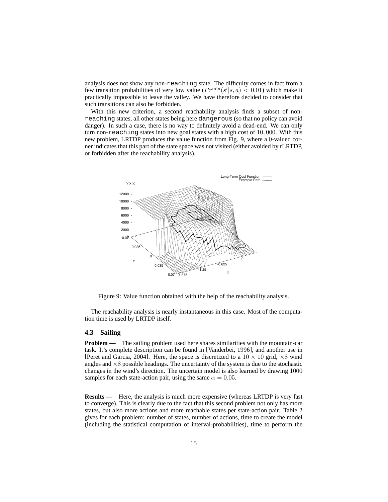analysis does not show any non-reaching state. The difficulty comes in fact from a few transition probabilities of very low value  $(Pr^{\min}(s' | s, a) < 0.01)$  which make it practically impossible to leave the valley. We have therefore decided to consider that such transitions can also be forbidden.

With this new criterion, a second reachability analysis finds a subset of nonreaching states, all other states being here dangerous (so that no policy can avoid danger). In such a case, there is no way to definitely avoid a dead-end. We can only turn non-reaching states into new goal states with a high cost of 10, 000. With this new problem, LRTDP produces the value function from Fig. 9, where a 0-valued corner indicates that this part of the state space was not visited (either avoided by rLRTDP, or forbidden after the reachability analysis).



Figure 9: Value function obtained with the help of the reachability analysis.

The reachability analysis is nearly instantaneous in this case. Most of the computation time is used by LRTDP itself.

#### **4.3 Sailing**

**Problem —** The sailing problem used here shares similarities with the mountain-car task. It's complete description can be found in [Vanderbei, 1996], and another use in [Peret and Garcia, 2004]. Here, the space is discretized to a  $10 \times 10$  grid,  $\times 8$  wind angles and  $\times 8$  possible headings. The uncertainty of the system is due to the stochastic changes in the wind's direction. The uncertain model is also learned by drawing 1000 samples for each state-action pair, using the same  $\alpha = 0.05$ .

**Results** — Here, the analysis is much more expensive (whereas LRTDP is very fast to converge). This is clearly due to the fact that this second problem not only has more states, but also more actions and more reachable states per state-action pair. Table 2 gives for each problem: number of states, number of actions, time to create the model (including the statistical computation of interval-probabilities), time to perform the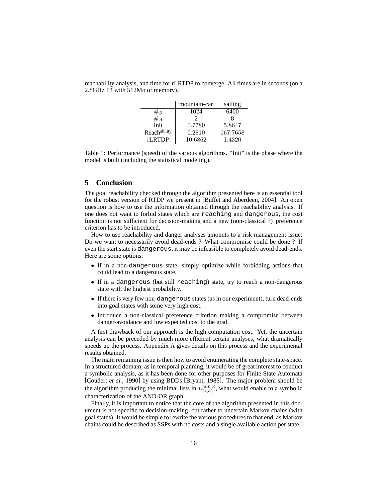reachability analysis, and time for rLRTDP to converge. All times are in seconds (on a 2.8GHz P4 with 512Mo of memory).

|              | mountain-car | sailing  |
|--------------|--------------|----------|
| $\#_S$       | 1024         | 6400     |
| $#_A$        |              |          |
| Init         | 0.7780       | 5.8647   |
| Reachability | 0.2810       | 167.7658 |
| rLRTDP       | 10.6862      | 1.4320   |

Table 1: Performance (speed) of the various algorithms. "Init" is the phase where the model is built (including the statistical modeling).

#### **5 Conclusion**

The goal reachability checked through the algorithm presented here is an essential tool for the robust version of RTDP we present in [Buffet and Aberdeen, 2004]. An open question is how to use the information obtained through the reachability analysis. If one does not want to forbid states which are reaching and dangerous, the cost function is not sufficient for decision-making and a new (non-classical ?) preference criterion has to be introduced.

How to use reachability and danger analyses amounts to a risk management issue: Do we want to necessarily avoid dead-ends ? What compromise could be done ? If even the start state is dangerous, it may be infeasible to completely avoid dead-ends. Here are some options:

- If in a non-dangerous state, simply optimize while forbidding actions that could lead to a dangerous state.
- If in a dangerous (but still reaching) state, try to reach a non-dangerous state with the highest probability.
- If there is very few non-dangerous states (as in our experiment), turn dead-ends into goal states with some very high cost.
- Introduce a non-classical preference criterion making a compromise between danger-avoidance and low expected cost to the goal.

A first drawback of our approach is the high computation cost. Yet, the uncertain analysis can be preceded by much more efficient certain analyses, what dramatically speeds up the process. Appendix A gives details on this process and the experimental results obtained.

The main remaining issue is then how to avoid enumerating the complete state-space. In a structured domain, as in temporal planning, it would be of great interest to conduct a symbolic analysis, as it has been done for other purposes for Finite State Automata [Coudert *et al.*, 1990] by using BDDs [Bryant, 1985]. The major problem should be the algorithm producing the minimal lists in  $L_{(s,a)}^{\min\{\emptyset\}}$ , what would enable to a symbolic characterization of the AND-OR graph.

Finally, it is important to notice that the core of the algorithm presented in this document is not specific to decision-making, but rather to uncertain Markov chains (with goal states). It would be simple to rewrite the various procedures to that end, as Markov chains could be described as SSPs with no costs and a single available action per state.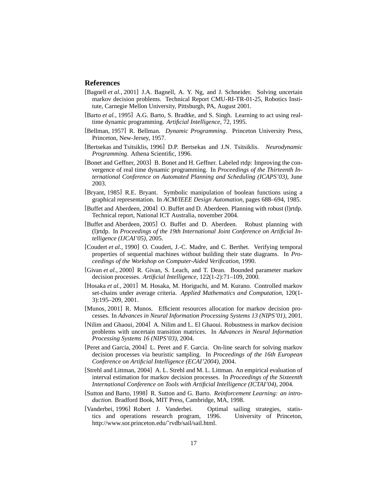#### **References**

- [Bagnell *et al.*, 2001] J.A. Bagnell, A. Y. Ng, and J. Schneider. Solving uncertain markov decision problems. Technical Report CMU-RI-TR-01-25, Robotics Institute, Carnegie Mellon University, Pittsburgh, PA, August 2001.
- [Barto *et al.*, 1995] A.G. Barto, S. Bradtke, and S. Singh. Learning to act using realtime dynamic programming. *Artificial Intelligence*, 72, 1995.
- [Bellman, 1957] R. Bellman. *Dynamic Programming*. Princeton University Press, Princeton, New-Jersey, 1957.
- [Bertsekas and Tsitsiklis, 1996] D.P. Bertsekas and J.N. Tsitsiklis. *Neurodynamic Programming*. Athena Scientific, 1996.
- [Bonet and Geffner, 2003] B. Bonet and H. Geffner. Labeled rtdp: Improving the convergence of real time dynamic programming. In *Proceedings of the Thirteenth International Conference on Automated Planning and Scheduling (ICAPS'03)*, June 2003.
- [Bryant, 1985] R.E. Bryant. Symbolic manipulation of boolean functions using a graphical representation. In *ACM/IEEE Design Automation*, pages 688–694, 1985.
- [Buffet and Aberdeen, 2004] O. Buffet and D. Aberdeen. Planning with robust (l)rtdp. Technical report, National ICT Australia, november 2004.
- [Buffet and Aberdeen, 2005] O. Buffet and D. Aberdeen. Robust planning with (l)rtdp. In *Proceedings of the 19th International Joint Conference on Artificial Intelligence (IJCAI'05)*, 2005.
- [Coudert et al., 1990] O. Coudert, J.-C. Madre, and C. Berthet. Verifying temporal properties of sequential machines without building their state diagrams. In *Proceedings of the Workshop on Computer-Aided Verification*, 1990.
- [Givan *et al.*, 2000] R. Givan, S. Leach, and T. Dean. Bounded parameter markov decision processes. *Artificial Intelligence*, 122(1-2):71–109, 2000.
- [Hosaka *et al.*, 2001] M. Hosaka, M. Horiguchi, and M. Kurano. Controlled markov set-chains under average criteria. *Applied Mathematics and Computation*, 120(1- 3):195–209, 2001.
- [Munos, 2001] R. Munos. Efficient resources allocation for markov decision processes. In *Advances in Neural Information Processing Systems 13 (NIPS'01)*, 2001.
- [Nilim and Ghaoui, 2004] A. Nilim and L. El Ghaoui. Robustness in markov decision problems with uncertain transition matrices. In *Advances in Neural Information Processing Systems 16 (NIPS'03)*, 2004.
- [Peret and Garcia, 2004] L. Peret and F. Garcia. On-line search for solving markov decision processes via heuristic sampling. In *Proceedings of the 16th European Conference on Artificial Intelligence (ECAI'2004)*, 2004.
- [Strehl and Littman, 2004] A. L. Strehl and M. L. Littman. An empirical evaluation of interval estimation for markov decision processes. In *Proceedings of the Sixteenth International Conference on Tools with Artificial Intelligence (ICTAI'04)*, 2004.
- [Sutton and Barto, 1998] R. Sutton and G. Barto. *Reinforcement Learning: an introduction*. Bradford Book, MIT Press, Cambridge, MA, 1998.
- [Vanderbei, 1996] Robert J. Vanderbei. Optimal sailing strategies, statistics and operations research program, 1996. University of Princeton, http://www.sor.princeton.edu/˜rvdb/sail/sail.html.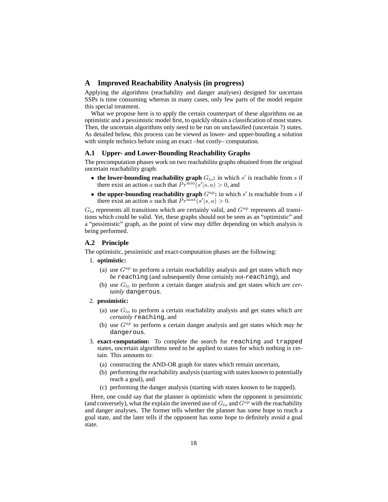#### **A Improved Reachability Analysis (in progress)**

Applying the algorithms (reachability and danger analyses) designed for uncertain SSPs is time consuming whereas in many cases, only few parts of the model require this special treatment.

What we propose here is to apply the certain counterpart of these algorithms on an optimistic and a pessimistic model first, to quickly obtain a classification of most states. Then, the uncertain algorithms only need to be run on unclassified (uncertain ?) states. As detailed below, this process can be viewed as lower- and upper-bouding a solution with simple technics before using an exact –but costly– computation.

#### **A.1 Upper- and Lower-Bounding Reachability Graphs**

The precomputation phases work on two reachabilitu graphs obtained from the original uncertain reachability graph:

- the lower-bounding reachability graph  $G_{lo}$ : in which  $s'$  is reachable from  $s$  if there exist an action a such that  $Pr^{\min}(s'|s, a) > 0$ , and
- the upper-bounding reachability graph  $G^{up}$ : in which  $s'$  is reachable from  $s$  if there exist an action a such that  $Pr^{\max}(s'|s, a) > 0$ .

 $G_{lo}$  represents all transitions which are certainly valid, and  $G^{up}$  represents all transitions which could be valid. Yet, these graphs should not be seen as an "optimistic" and a "pessimistic" graph, as the point of view may differ depending on which analysis is being performed.

#### **A.2 Principle**

The optimistic, pessimistic and exact-computation phases are the following:

#### 1. **optimistic:**

- (a) use  $G^{up}$  to perform a certain reachability analysis and get states which *may be* reaching (and subsequently those certainly not-reaching), and
- (b) use  $G_{lo}$  to perform a certain danger analysis and get states which *are certainly* dangerous.

#### 2. **pessimistic:**

- (a) use Glo to perform a certain reachability analysis and get states which *are certainly* reaching, and
- (b) use  $G^{up}$  to perform a certain danger analysis and get states which *may be* dangerous.
- 3. **exact-computation:** To complete the search for reaching and trapped states, uncertain algorithms need to be applied to states for which nothing is certain. This amounts to:
	- (a) constructing the AND-OR graph for states which remain uncertain,
	- (b) performing the reachability analysis (starting with states known to potentially reach a goal), and
	- (c) performing the danger analysis (starting with states known to be trapped).

Here, one could say that the planner is optimistic when the opponent is pessimistic (and conversely), what the explain the inverted use of  $G_{lo}$  and  $G^{up}$  with the reachability and danger analyses. The former tells whether the planner has some hope to reach a goal state, and the later tells if the opponent has some hope to definitely avoid a goal state.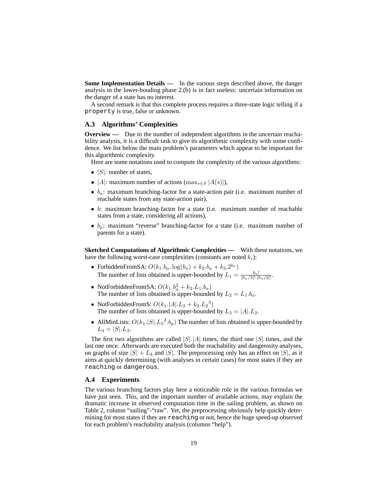**Some Implementation Details —** In the various steps described above, the danger analysis in the lower-bouding phase 2.(b) is in fact useless: uncertain information on the danger of a state has no interest.

A second remark is that this complete process requires a three-state logic telling if a property is true, false or unknown.

#### **A.3 Algorithms' Complexities**

**Overview —** Due to the number of independent algorithms in the uncertain reachability analysis, it is a difficult task to give its algorithmic complexity with some confidence. We list below the main problem's parameters which appear to be important for this algorithmic complexity.

Here are some notations used to compute the complexity of the various algorithms:

- $|S|$ : number of states,
- |A|: maximum number of actions ( $\max_{s \in S} |A(s)|$ ),
- $b_a$ : maximum branching-factor for a state-action pair (i.e. maximum number of reachable states from any state-action pair),
- b: maximum branching-factor for a state (i.e. maximum number of reachable states from a state, considering all actions),
- $b_p$ : maximum "reverse" branching-factor for a state (i.e. maximum number of parents for a state).

**Sketched Computations of Algorithmic Complexities —** With these notations, we have the following worst-case complexities (constants are noted  $k_i$ ):

- ForbiddenFromSA:  $O(k_1.b_a. \log(b_a) + k_2.b_a + k_3.2^{b_a})$ The number of lists obtained is upper-bounded by  $L_1 = \frac{b_a!}{[b_a/2]! \cdot [b_a/2]!}$ .
- NotForbiddenFromSA:  $O(k_1.b_a^2 + k_2.L_1.b_a)$ The number of lists obtained is upper-bounded by  $L_2 = L_1.b_a$ .
- NotForbiddenFromS:  $O(k_1.|A|L_2 + k_2.L_2^3)$ The number of lists obtained is upper-bounded by  $L_3 = |A| L_2$ .
- AllMinLists:  $O(k_1.|S| \cdot L_3^2. b_p)$  The number of lists obtained is upper-bounded by  $L_4 = |S| L_3.$

The first two algorithms are called  $|S|$ . |A| times, the third one  $|S|$  times, and the last one once. Afterwards are executed both the reachability and dangerosity analyses, on graphs of size  $|S| + L_4$  and  $|S|$ . The preprocessing only has an effect on  $|S|$ , as it aims at quickly determining (with analyses in certain cases) for most states if they are reaching or dangerous.

#### **A.4 Experiments**

The various branching factors play here a noticeable role in the various formulas we have just seen. This, and the important number of available actions, may explain the dramatic increase in observed computation time in the sailing problem, as shown on Table 2, column "sailing"-"raw". Yet, the preprocessing obviously help quickly determining for most states if they are reaching or not, hence the huge speed-up observed for each problem's reachability analysis (columns "help").